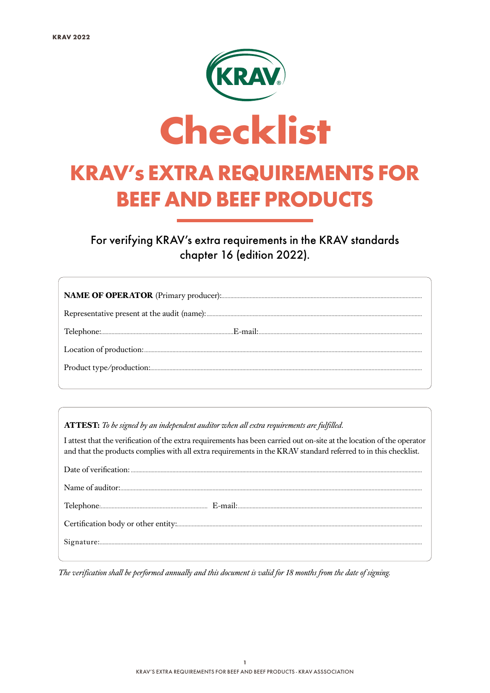

For verifying KRAV's extra requirements in the KRAV standards chapter 16 (edition 2022).

ATTEST: To be signed by an independent auditor when all extra requirements are fulfilled.

I attest that the verification of the extra requirements has been carried out on-site at the location of the operator and that the products complies with all extra requirements in the KRAV standard referred to in this checklist.

The verification shall be performed annually and this document is valid for 18 months from the date of signing.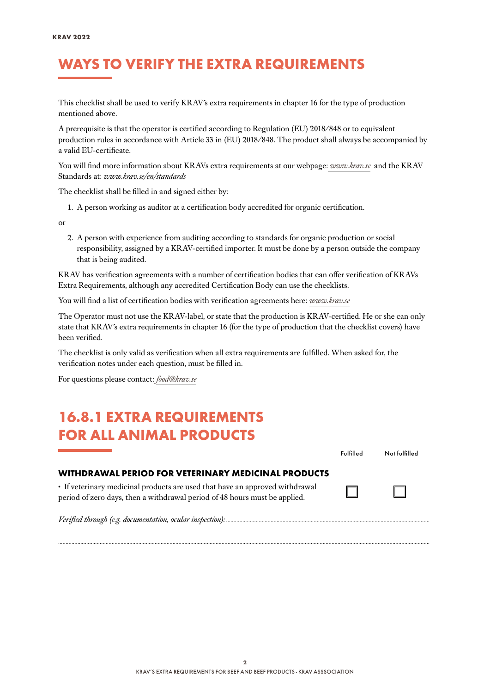#### WAYS TO VERIFY THE EXTRA REQUIREMENTS

This checklist shall be used to verify KRAV´s extra requirements in chapter 16 for the type of production mentioned above.

A prerequisite is that the operator is certified according to Regulation (EU) 2018/848 or to equivalent production rules in accordance with Article 33 in (EU) 2018/848. The product shall always be accompanied by a valid EU-certificate.

You will find more information about KRAVs extra requirements at our webpage: *[www.krav.se](www.krav.se/en/for-companies/extra-requirements-for-all-products/)* and the KRAV Standards at: *[www.krav.se/en/standards](https://www.krav.se/en/standards)*

The checklist shall be filled in and signed either by:

1. A person working as auditor at a certification body accredited for organic certification.

or

2. A person with experience from auditing according to standards for organic production or social responsibility, assigned by a KRAV-certified importer. It must be done by a person outside the company that is being audited.

KRAV has verification agreements with a number of certification bodies that can offer verification of KRAVs Extra Requirements, although any accredited Certification Body can use the checklists.

You will find a list of certification bodies with verification agreements here: *[www.krav.se](https://www.krav.se/en/asset/certification-bodies-with-verification-agreement/)*

The Operator must not use the KRAV-label, or state that the production is KRAV-certified. He or she can only state that KRAV´s extra requirements in chapter 16 (for the type of production that the checklist covers) have been verified.

The checklist is only valid as verification when all extra requirements are fulfilled. When asked for, the verification notes under each question, must be filled in.

For questions please contact: *[food@krav.se](mailto:food%40krav.se?subject=From%20extra%20requirements)*

#### 16.8.1 EXTRA REQUIREMENTS FOR ALL ANIMAL PRODUCTS

|                                                                                                                                                            | Fulfilled | Not fulfilled |
|------------------------------------------------------------------------------------------------------------------------------------------------------------|-----------|---------------|
| WITHDRAWAL PERIOD FOR VETERINARY MEDICINAL PRODUCTS                                                                                                        |           |               |
| • If veterinary medicinal products are used that have an approved withdrawal<br>period of zero days, then a withdrawal period of 48 hours must be applied. |           |               |
|                                                                                                                                                            |           |               |

*..........................................................................................................................................................................................................................................................*

*Verified through (e.g. documentation, ocular inspection): .........................................................................................................................................*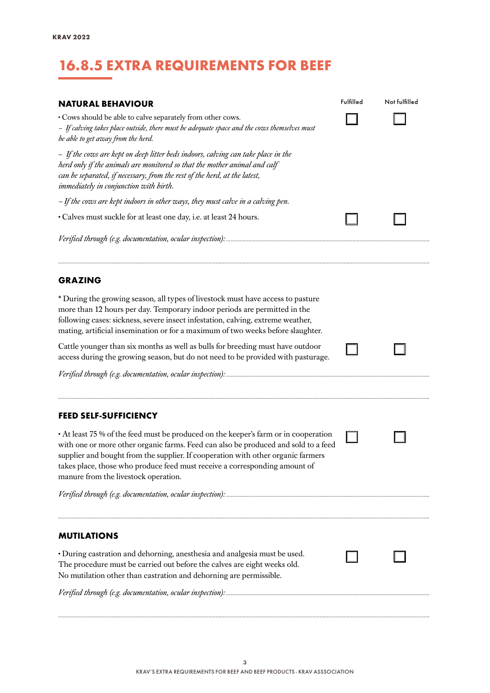### 16.8.5 EXTRA REQUIREMENTS FOR BEEF

| <b>NATURAL BEHAVIOUR</b><br>• Cows should be able to calve separately from other cows.<br>- If calving takes place outside, there must be adequate space and the cows themselves must<br>be able to get away from the herd.<br>- If the cows are kept on deep litter beds indoors, calving can take place in the                                                                    | Fulfilled | Not fulfilled |  |  |
|-------------------------------------------------------------------------------------------------------------------------------------------------------------------------------------------------------------------------------------------------------------------------------------------------------------------------------------------------------------------------------------|-----------|---------------|--|--|
| herd only if the animals are monitored so that the mother animal and calf<br>can be separated, if necessary, from the rest of the herd, at the latest,<br>immediately in conjunction with birth.                                                                                                                                                                                    |           |               |  |  |
| - If the cows are kept indoors in other ways, they must calve in a calving pen.                                                                                                                                                                                                                                                                                                     |           |               |  |  |
| · Calves must suckle for at least one day, i.e. at least 24 hours.                                                                                                                                                                                                                                                                                                                  |           |               |  |  |
|                                                                                                                                                                                                                                                                                                                                                                                     |           |               |  |  |
| <b>GRAZING</b>                                                                                                                                                                                                                                                                                                                                                                      |           |               |  |  |
| * During the growing season, all types of livestock must have access to pasture<br>more than 12 hours per day. Temporary indoor periods are permitted in the<br>following cases: sickness, severe insect infestation, calving, extreme weather,<br>mating, artificial insemination or for a maximum of two weeks before slaughter.                                                  |           |               |  |  |
| Cattle younger than six months as well as bulls for breeding must have outdoor<br>access during the growing season, but do not need to be provided with pasturage.                                                                                                                                                                                                                  |           |               |  |  |
|                                                                                                                                                                                                                                                                                                                                                                                     |           |               |  |  |
| <b>FEED SELF-SUFFICIENCY</b>                                                                                                                                                                                                                                                                                                                                                        |           |               |  |  |
| • At least 75 % of the feed must be produced on the keeper's farm or in cooperation<br>with one or more other organic farms. Feed can also be produced and sold to a feed<br>supplier and bought from the supplier. If cooperation with other organic farmers<br>takes place, those who produce feed must receive a corresponding amount of<br>manure from the livestock operation. |           |               |  |  |
|                                                                                                                                                                                                                                                                                                                                                                                     |           |               |  |  |
| <b>MUTILATIONS</b>                                                                                                                                                                                                                                                                                                                                                                  |           |               |  |  |
| · During castration and dehorning, anesthesia and analgesia must be used.<br>The procedure must be carried out before the calves are eight weeks old.<br>No mutilation other than castration and dehorning are permissible.                                                                                                                                                         |           |               |  |  |
|                                                                                                                                                                                                                                                                                                                                                                                     |           |               |  |  |

*..........................................................................................................................................................................................................................................................*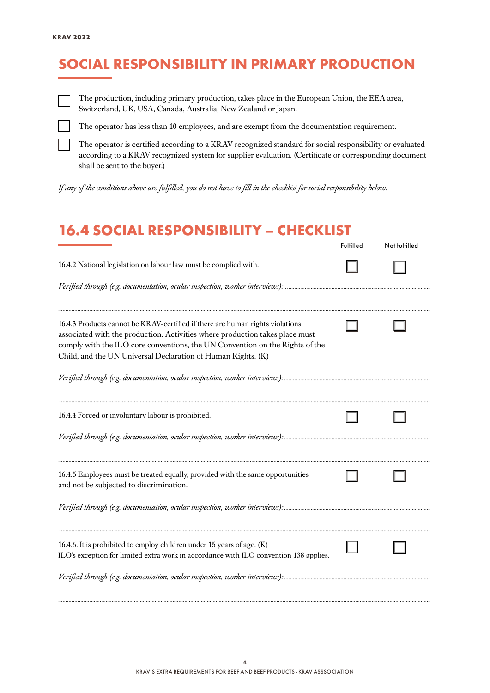## SOCIAL RESPONSIBILITY IN PRIMARY PRODUCTION

The production, including primary production, takes place in the European Union, the EEA area, Switzerland, UK, USA, Canada, Australia, New Zealand or Japan.

The operator has less than 10 employees, and are exempt from the documentation requirement.

The operator is certified according to a KRAV recognized standard for social responsibility or evaluated according to a KRAV recognized system for supplier evaluation. (Certificate or corresponding document shall be sent to the buyer.)

*If any of the conditions above are fulfilled, you do not have to fill in the checklist for social responsibility below.*

#### 16.4 SOCIAL RESPONSIBILITY – CHECKLIST

|                                                                                                                                                                                                                                                                                                               | Fulfilled | Not fulfilled |
|---------------------------------------------------------------------------------------------------------------------------------------------------------------------------------------------------------------------------------------------------------------------------------------------------------------|-----------|---------------|
| 16.4.2 National legislation on labour law must be complied with.                                                                                                                                                                                                                                              |           |               |
|                                                                                                                                                                                                                                                                                                               |           |               |
| 16.4.3 Products cannot be KRAV-certified if there are human rights violations<br>associated with the production. Activities where production takes place must<br>comply with the ILO core conventions, the UN Convention on the Rights of the<br>Child, and the UN Universal Declaration of Human Rights. (K) |           |               |
|                                                                                                                                                                                                                                                                                                               |           |               |
| 16.4.4 Forced or involuntary labour is prohibited.                                                                                                                                                                                                                                                            |           |               |
|                                                                                                                                                                                                                                                                                                               |           |               |
| 16.4.5 Employees must be treated equally, provided with the same opportunities<br>and not be subjected to discrimination.                                                                                                                                                                                     |           |               |
|                                                                                                                                                                                                                                                                                                               |           |               |
| 16.4.6. It is prohibited to employ children under 15 years of age. (K)<br>ILO's exception for limited extra work in accordance with ILO convention 138 applies.                                                                                                                                               |           |               |
| Verified through (e.g. documentation, ocular inspection, worker interviews):                                                                                                                                                                                                                                  |           |               |

*..........................................................................................................................................................................................................................................................*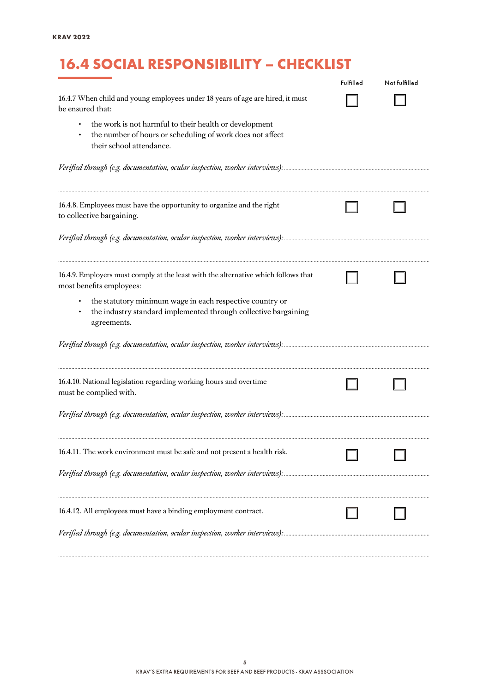# 16.4 SOCIAL RESPONSIBILITY – CHECKLIST

|                                                                                                                                                 | Fulfilled | Not fulfilled |
|-------------------------------------------------------------------------------------------------------------------------------------------------|-----------|---------------|
| 16.4.7 When child and young employees under 18 years of age are hired, it must<br>be ensured that:                                              |           |               |
| the work is not harmful to their health or development<br>the number of hours or scheduling of work does not affect<br>their school attendance. |           |               |
|                                                                                                                                                 |           |               |
| 16.4.8. Employees must have the opportunity to organize and the right<br>to collective bargaining.                                              |           |               |
|                                                                                                                                                 |           |               |
| 16.4.9. Employers must comply at the least with the alternative which follows that<br>most benefits employees:                                  |           |               |
| the statutory minimum wage in each respective country or<br>the industry standard implemented through collective bargaining<br>agreements.      |           |               |
|                                                                                                                                                 |           |               |
| 16.4.10. National legislation regarding working hours and overtime<br>must be complied with.                                                    |           |               |
|                                                                                                                                                 |           |               |
| 16.4.11. The work environment must be safe and not present a health risk.                                                                       |           |               |
|                                                                                                                                                 |           |               |
| 16.4.12. All employees must have a binding employment contract.                                                                                 |           |               |
|                                                                                                                                                 |           |               |

*..........................................................................................................................................................................................................................................................*